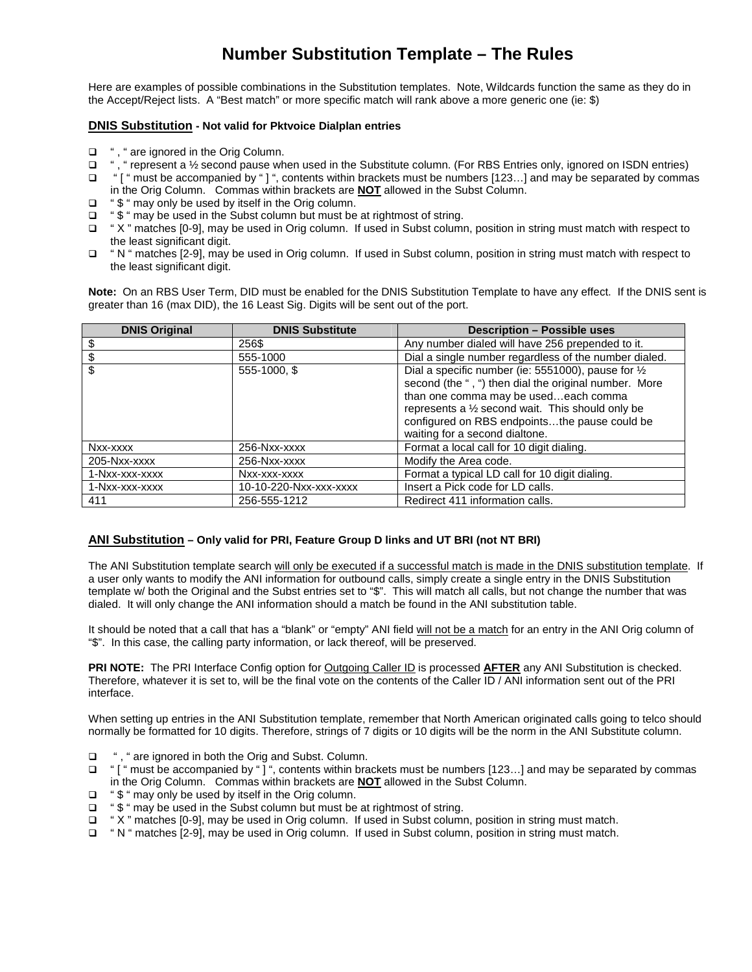## **Number Substitution Template – The Rules**

Here are examples of possible combinations in the Substitution templates. Note, Wildcards function the same as they do in the Accept/Reject lists. A "Best match" or more specific match will rank above a more generic one (ie: \$)

## **DNIS Substitution - Not valid for Pktvoice Dialplan entries**

- □ ", " are ignored in the Orig Column.
- □ ", " represent a ½ second pause when used in the Substitute column. (For RBS Entries only, ignored on ISDN entries)
- □ " [" must be accompanied by "] ", contents within brackets must be numbers [123...] and may be separated by commas in the Orig Column. Commas within brackets are **NOT** allowed in the Subst Column.
- $\Box$  "  $\$\$  " may only be used by itself in the Orig column.
- □ "\$ " may be used in the Subst column but must be at rightmost of string.
- " X " matches [0-9], may be used in Orig column. If used in Subst column, position in string must match with respect to the least significant digit.
- "N " matches [2-9], may be used in Orig column. If used in Subst column, position in string must match with respect to the least significant digit.

**Note:** On an RBS User Term, DID must be enabled for the DNIS Substitution Template to have any effect. If the DNIS sent is greater than 16 (max DID), the 16 Least Sig. Digits will be sent out of the port.

| <b>DNIS Original</b> | <b>DNIS Substitute</b> | <b>Description - Possible uses</b>                                                                                                                                                                                                                                                           |
|----------------------|------------------------|----------------------------------------------------------------------------------------------------------------------------------------------------------------------------------------------------------------------------------------------------------------------------------------------|
|                      | 256\$                  | Any number dialed will have 256 prepended to it.                                                                                                                                                                                                                                             |
|                      | 555-1000               | Dial a single number regardless of the number dialed.                                                                                                                                                                                                                                        |
| \$                   | 555-1000, \$           | Dial a specific number (ie: 5551000), pause for 1/2<br>second (the ", ") then dial the original number. More<br>than one comma may be usedeach comma<br>represents a 1/2 second wait. This should only be<br>configured on RBS endpointsthe pause could be<br>waiting for a second dialtone. |
| Nxx-xxxx             | 256-Nxx-xxxx           | Format a local call for 10 digit dialing.                                                                                                                                                                                                                                                    |
| 205-Nxx-xxxx         | 256-Nxx-xxxx           | Modify the Area code.                                                                                                                                                                                                                                                                        |
| 1-Nxx-xxx-xxxx       | Nxx-xxx-xxxx           | Format a typical LD call for 10 digit dialing.                                                                                                                                                                                                                                               |
| 1-Nxx-xxx-xxxx       | 10-10-220-Nxx-xxx-xxxx | Insert a Pick code for LD calls.                                                                                                                                                                                                                                                             |
| 411                  | 256-555-1212           | Redirect 411 information calls.                                                                                                                                                                                                                                                              |

## **ANI Substitution – Only valid for PRI, Feature Group D links and UT BRI (not NT BRI)**

The ANI Substitution template search will only be executed if a successful match is made in the DNIS substitution template. If a user only wants to modify the ANI information for outbound calls, simply create a single entry in the DNIS Substitution template w/ both the Original and the Subst entries set to "\$". This will match all calls, but not change the number that was dialed. It will only change the ANI information should a match be found in the ANI substitution table.

It should be noted that a call that has a "blank" or "empty" ANI field will not be a match for an entry in the ANI Orig column of "\$". In this case, the calling party information, or lack thereof, will be preserved.

**PRI NOTE:** The PRI Interface Config option for Outgoing Caller ID is processed **AFTER** any ANI Substitution is checked. Therefore, whatever it is set to, will be the final vote on the contents of the Caller ID / ANI information sent out of the PRI interface.

When setting up entries in the ANI Substitution template, remember that North American originated calls going to telco should normally be formatted for 10 digits. Therefore, strings of 7 digits or 10 digits will be the norm in the ANI Substitute column.

- □ ", " are ignored in both the Orig and Subst. Column.
- □ " [" must be accompanied by "]", contents within brackets must be numbers [123...] and may be separated by commas in the Orig Column. Commas within brackets are **NOT** allowed in the Subst Column.
- $\Box$  "  $\$\$  " may only be used by itself in the Orig column.
- □ "\$ " may be used in the Subst column but must be at rightmost of string.
- " X " matches [0-9], may be used in Orig column. If used in Subst column, position in string must match.
- " N " matches [2-9], may be used in Orig column. If used in Subst column, position in string must match.